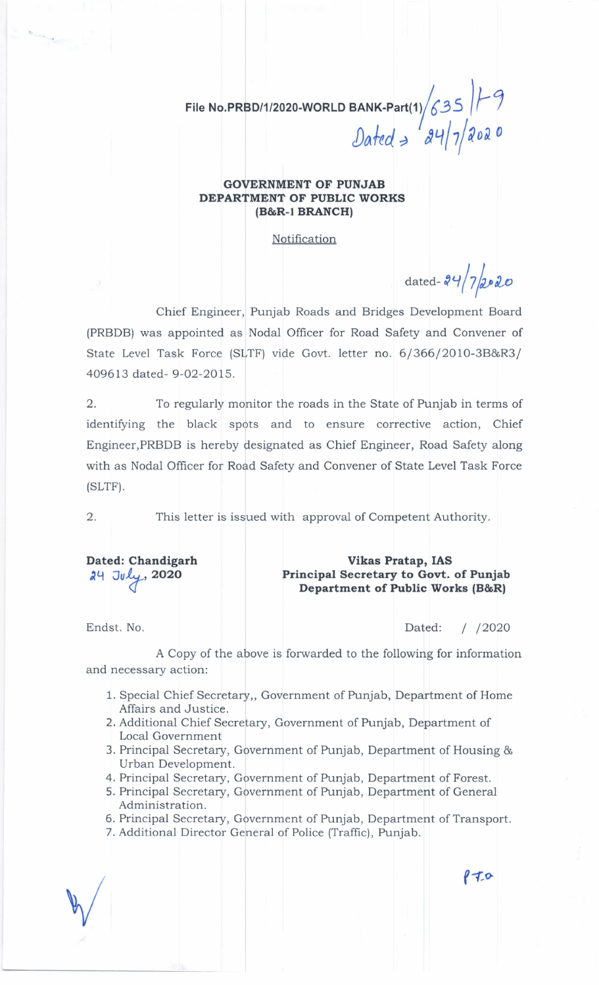File No.PRBD/1/2020-WORLD BANK-Part(1) $/6$ 3S  $\left|\digamma\right|$  $\int 24/7$ 202  $\overline{\phantom{a}}$  $\mathcal{D}$ ated  $\Rightarrow$ 

## GOVERNMENT OF PUNJAB DEPARTMENT OF PUBLIC WORKS (B&R-1 BRANCH)

Notification

dated- $24/7$ 2020

Chief Engineer, Punjab Roads and Bridges Development Board (PRBDB) was appointed as Nodal Officer for Road Safety and Convener of State Level Task Force (SLTF) vide Govt. letter no. 6/366/2010-3B&R3/ 409613 dated- 9-02-2015.

2. To regularly monitor the roads in the State of Punjab in terms of identifying the black spots and to ensure corrective action, Chief Engineer,PRBDB is hereby designated as Chief Engineer, Road Safety along with as Nodal Officer for Road Safety and Convener of State Level Task Force (sLrF).

2. This letter is issued with approval of Competent Authority.

Dated: Chandigarh  $24$  July,  $2020$ 

Vikas Pratap, IAS Principal Secretary to Govt. of Punjab Department of Public Works (B&Rl

Endst. No. Dated: I /2O2O

 $870$ 

A Copy of the above is forwarded to the following for information and necessary action:

- 1. Special Chief Secretary,, Government of Punjab, Department of Home Affairs and Justice.
- 2. Additional Chief Secretary, Government of Punjab, Department of Local Government
- 3. Principal Secretary, Government of Punjab, Department of Housing & Urban Development.
- 4. Principal Secretary, Government of Punjab, Department of Forest.
- 5. Principal Secretary, Government of Punjab, Department of General Administration.
- 6. Principal Secretary, Government of Punjab, Department of Transport.
- 7. Additional Director General of Police (Traffic), Punjab.